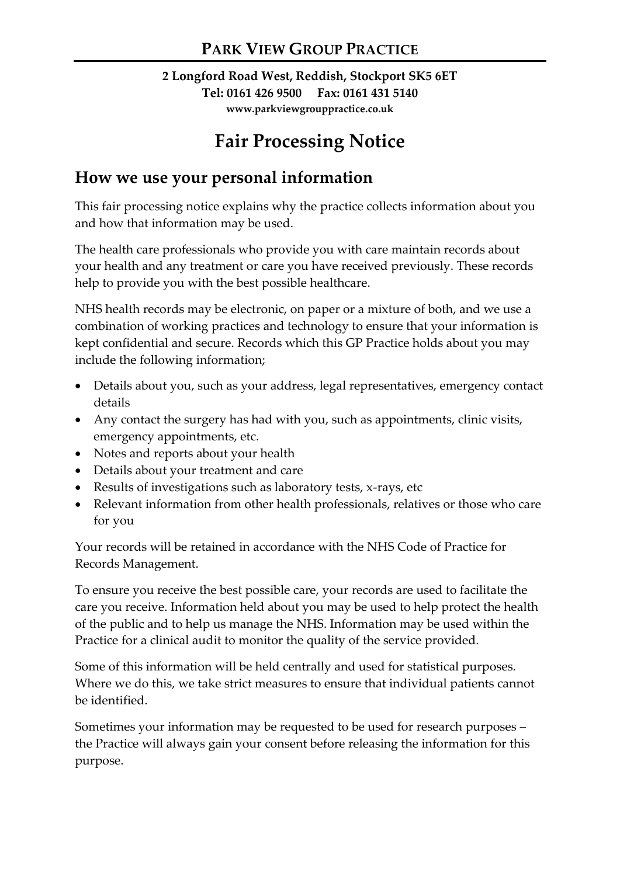#### **2 Longford Road West, Reddish, Stockport SK5 6ET Tel: 0161 426 9500 Fax: 0161 431 5140 www.parkviewgrouppractice.co.uk**

# **Fair Processing Notice**

#### **How we use your personal information**

This fair processing notice explains why the practice collects information about you and how that information may be used.

The health care professionals who provide you with care maintain records about your health and any treatment or care you have received previously. These records help to provide you with the best possible healthcare.

NHS health records may be electronic, on paper or a mixture of both, and we use a combination of working practices and technology to ensure that your information is kept confidential and secure. Records which this GP Practice holds about you may include the following information;

- Details about you, such as your address, legal representatives, emergency contact details
- Any contact the surgery has had with you, such as appointments, clinic visits, emergency appointments, etc.
- Notes and reports about your health
- Details about your treatment and care
- Results of investigations such as laboratory tests, x-rays, etc
- Relevant information from other health professionals, relatives or those who care for you

Your records will be retained in accordance with the NHS Code of Practice for Records Management.

To ensure you receive the best possible care, your records are used to facilitate the care you receive. Information held about you may be used to help protect the health of the public and to help us manage the NHS. Information may be used within the Practice for a clinical audit to monitor the quality of the service provided.

Some of this information will be held centrally and used for statistical purposes. Where we do this, we take strict measures to ensure that individual patients cannot be identified.

Sometimes your information may be requested to be used for research purposes – the Practice will always gain your consent before releasing the information for this purpose.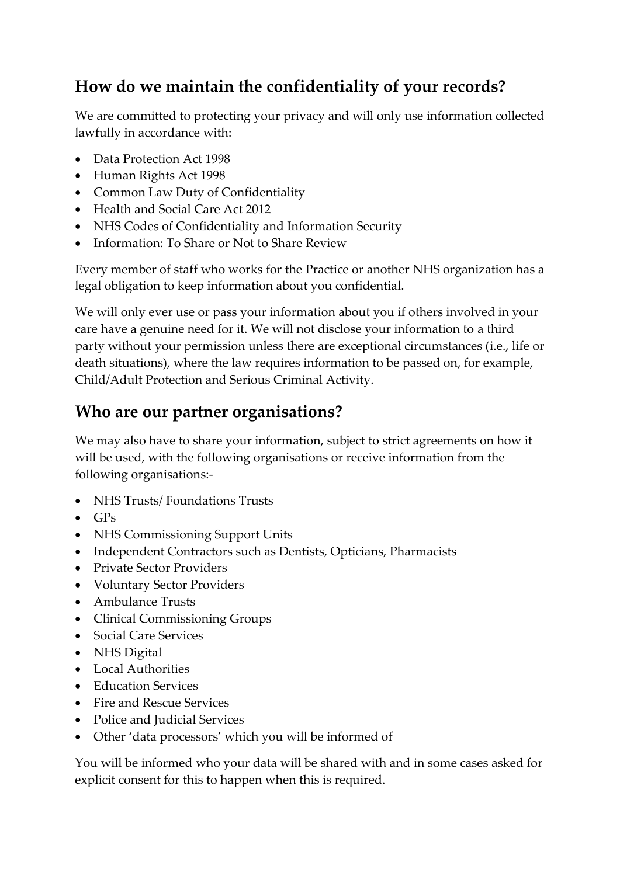## **How do we maintain the confidentiality of your records?**

We are committed to protecting your privacy and will only use information collected lawfully in accordance with:

- Data Protection Act 1998
- Human Rights Act 1998
- Common Law Duty of Confidentiality
- Health and Social Care Act 2012
- NHS Codes of Confidentiality and Information Security
- Information: To Share or Not to Share Review

Every member of staff who works for the Practice or another NHS organization has a legal obligation to keep information about you confidential.

We will only ever use or pass your information about you if others involved in your care have a genuine need for it. We will not disclose your information to a third party without your permission unless there are exceptional circumstances (i.e., life or death situations), where the law requires information to be passed on, for example, Child/Adult Protection and Serious Criminal Activity.

### **Who are our partner organisations?**

We may also have to share your information, subject to strict agreements on how it will be used, with the following organisations or receive information from the following organisations:-

- NHS Trusts/ Foundations Trusts
- $\bullet$  GPs
- NHS Commissioning Support Units
- Independent Contractors such as Dentists, Opticians, Pharmacists
- Private Sector Providers
- Voluntary Sector Providers
- Ambulance Trusts
- Clinical Commissioning Groups
- Social Care Services
- NHS Digital
- Local Authorities
- Education Services
- Fire and Rescue Services
- Police and Judicial Services
- Other 'data processors' which you will be informed of

You will be informed who your data will be shared with and in some cases asked for explicit consent for this to happen when this is required.